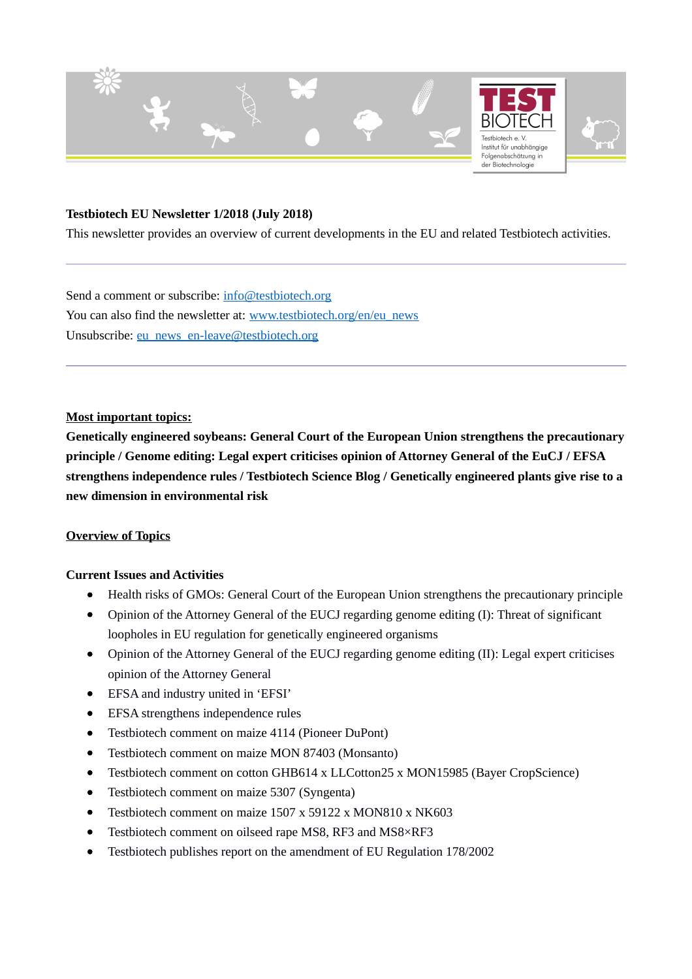

#### **Testbiotech EU Newsletter 1/2018 (July 2018)**

This newsletter provides an overview of current developments in the EU and related Testbiotech activities.

Send a comment or subscribe: [info@testbiotech.org](mailto:info@testbiotech.org) You can also find the newsletter at: [www.testbiotech.org/en/eu\\_news](http://www.testbiotech.org/en/eu_news) Unsubscribe: [eu\\_news\\_en-leave@testbiotech.org](mailto:eu_news_en-leave@testbiotech.org)

#### **Most important topics:**

**Genetically engineered soybeans: General Court of the European Union strengthens the precautionary principle / Genome editing: Legal expert criticises opinion of Attorney General of the EuCJ / EFSA strengthens independence rules / Testbiotech Science Blog / Genetically engineered plants give rise to a new dimension in environmental risk**

#### **Overview of Topics**

#### **Current Issues and Activities**

- Health risks of GMOs: General Court of the European Union strengthens the precautionary principle
- Opinion of the Attorney General of the EUCJ regarding genome editing (I): Threat of significant loopholes in EU regulation for genetically engineered organisms
- Opinion of the Attorney General of the EUCJ regarding genome editing (II): Legal expert criticises opinion of the Attorney General
- EFSA and industry united in 'EFSI'
- EFSA strengthens independence rules
- Testbiotech comment on maize 4114 (Pioneer DuPont)
- Testbiotech comment on maize MON 87403 (Monsanto)
- Testbiotech comment on cotton GHB614 x LLCotton25 x MON15985 (Bayer CropScience)
- Testbiotech comment on maize 5307 (Syngenta)
- Testbiotech comment on maize 1507 x 59122 x MON810 x NK603
- Testbiotech comment on oilseed rape MS8, RF3 and MS8×RF3
- Testbiotech publishes report on the amendment of EU Regulation 178/2002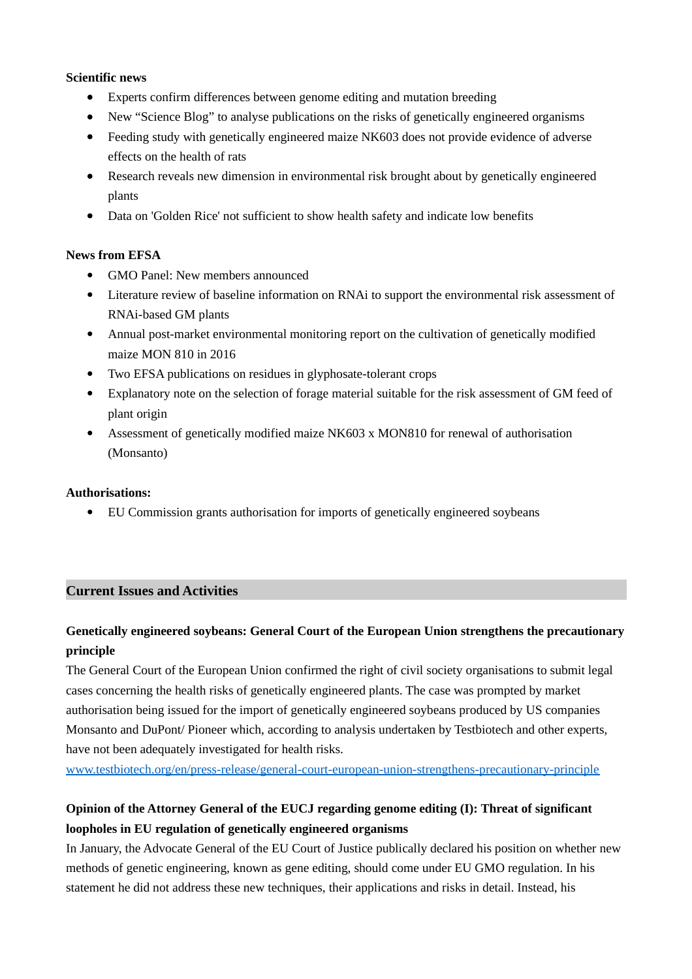#### **Scientific news**

- Experts confirm differences between genome editing and mutation breeding
- New "Science Blog" to analyse publications on the risks of genetically engineered organisms
- Feeding study with genetically engineered maize NK603 does not provide evidence of adverse effects on the health of rats
- Research reveals new dimension in environmental risk brought about by genetically engineered plants
- Data on 'Golden Rice' not sufficient to show health safety and indicate low benefits

## **News from EFSA**

- GMO Panel: New members announced
- Literature review of baseline information on RNAi to support the environmental risk assessment of RNAi‐based GM plants
- Annual post-market environmental monitoring report on the cultivation of genetically modified maize MON 810 in 2016
- Two EFSA publications on residues in glyphosate-tolerant crops
- Explanatory note on the selection of forage material suitable for the risk assessment of GM feed of plant origin
- Assessment of genetically modified maize NK603 x MON810 for renewal of authorisation (Monsanto)

## **Authorisations:**

EU Commission grants authorisation for imports of genetically engineered soybeans

## **Current Issues and Activities**

# **Genetically engineered soybeans: General Court of the European Union strengthens the precautionary principle**

The General Court of the European Union confirmed the right of civil society organisations to submit legal cases concerning the health risks of genetically engineered plants. The case was prompted by market authorisation being issued for the import of genetically engineered soybeans produced by US companies Monsanto and DuPont/ Pioneer which, according to analysis undertaken by Testbiotech and other experts, have not been adequately investigated for health risks.

[www.testbiotech.org/en/press-release/general-court-european-union-strengthens-precautionary-principle](http://www.testbiotech.org/en/press-release/general-court-european-union-strengthens-precautionary-principle)

## **Opinion of the Attorney General of the EUCJ regarding genome editing (I): Threat of significant loopholes in EU regulation of genetically engineered organisms**

In January, the Advocate General of the EU Court of Justice publically declared his position on whether new methods of genetic engineering, known as gene editing, should come under EU GMO regulation. In his statement he did not address these new techniques, their applications and risks in detail. Instead, his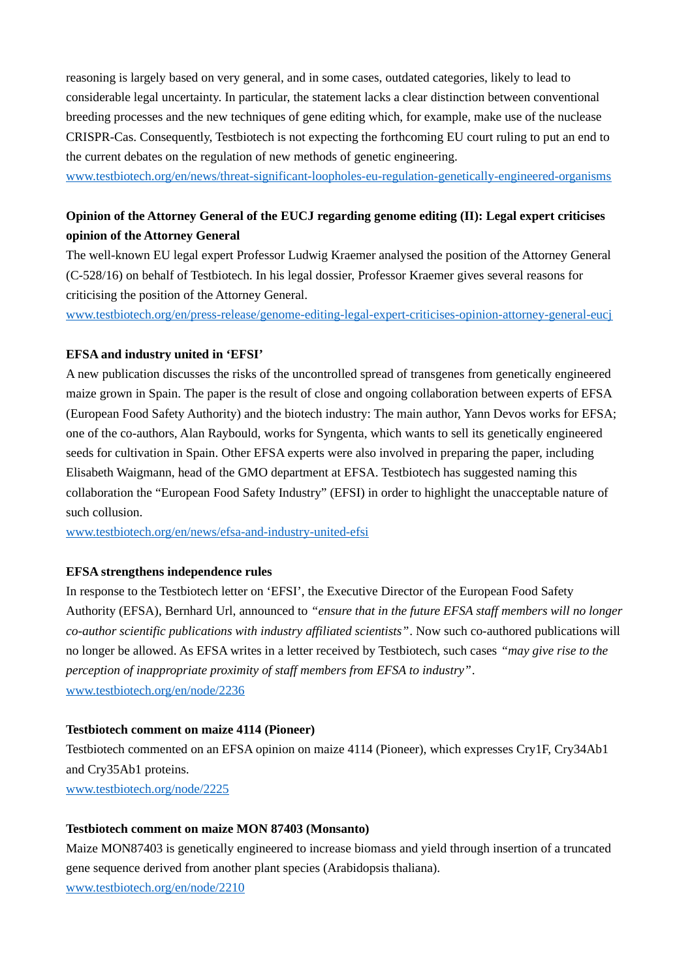reasoning is largely based on very general, and in some cases, outdated categories, likely to lead to considerable legal uncertainty. In particular, the statement lacks a clear distinction between conventional breeding processes and the new techniques of gene editing which, for example, make use of the nuclease CRISPR-Cas. Consequently, Testbiotech is not expecting the forthcoming EU court ruling to put an end to the current debates on the regulation of new methods of genetic engineering.

[www.testbiotech.org/en/news/threat-significant-loopholes-eu-regulation-genetically-engineered-organisms](http://www.testbiotech.org/en/news/threat-significant-loopholes-eu-regulation-genetically-engineered-organisms)

## **Opinion of the Attorney General of the EUCJ regarding genome editing (II): Legal expert criticises opinion of the Attorney General**

The well-known EU legal expert Professor Ludwig Kraemer analysed the position of the Attorney General (C-528/16) on behalf of Testbiotech. In his legal dossier, Professor Kraemer gives several reasons for criticising the position of the Attorney General.

[www.testbiotech.org/en/press-release/genome-editing-legal-expert-criticises-opinion-attorney-general-eucj](http://www.testbiotech.org/en/press-release/genome-editing-legal-expert-criticises-opinion-attorney-general-eucj)

## **EFSA and industry united in 'EFSI'**

A new publication discusses the risks of the uncontrolled spread of transgenes from genetically engineered maize grown in Spain. The paper is the result of close and ongoing collaboration between experts of EFSA (European Food Safety Authority) and the biotech industry: The main author, Yann Devos works for EFSA; one of the co-authors, Alan Raybould, works for Syngenta, which wants to sell its genetically engineered seeds for cultivation in Spain. Other EFSA experts were also involved in preparing the paper, including Elisabeth Waigmann, head of the GMO department at EFSA. Testbiotech has suggested naming this collaboration the "European Food Safety Industry" (EFSI) in order to highlight the unacceptable nature of such collusion.

[www.testbiotech.org/en/news/efsa-and-industry-united-efsi](http://www.testbiotech.org/en/news/efsa-and-industry-united-efsi)

## **EFSA strengthens independence rules**

In response to the Testbiotech letter on 'EFSI', the Executive Director of the European Food Safety Authority (EFSA), Bernhard Url, announced to *"ensure that in the future EFSA staff members will no longer co-author scientific publications with industry affiliated scientists"*. Now such co-authored publications will no longer be allowed. As EFSA writes in a letter received by Testbiotech, such cases *"may give rise to the perception of inappropriate proximity of staff members from EFSA to industry"*. [www.testbiotech.org/en/node/2236](http://www.testbiotech.org/en/node/2236)

## **Testbiotech comment on maize 4114 (Pioneer)**

Testbiotech commented on an EFSA opinion on maize 4114 (Pioneer), which expresses Cry1F, Cry34Ab1 and Cry35Ab1 proteins. [www.testbiotech.org/node/2225](http://www.testbiotech.org/node/2225)

## **Testbiotech comment on maize MON 87403 (Monsanto)**

Maize MON87403 is genetically engineered to increase biomass and yield through insertion of a truncated gene sequence derived from another plant species (Arabidopsis thaliana).

[www.testbiotech.org/en/node/2210](http://www.testbiotech.org/en/node/2210)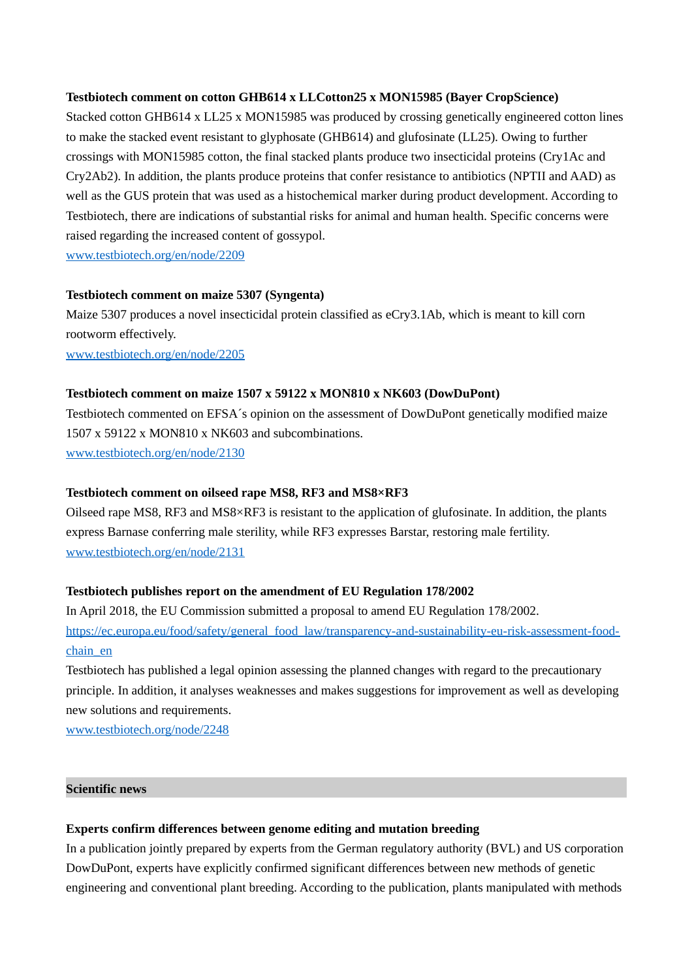#### **Testbiotech comment on cotton GHB614 x LLCotton25 x MON15985 (Bayer CropScience)**

Stacked cotton GHB614 x LL25 x MON15985 was produced by crossing genetically engineered cotton lines to make the stacked event resistant to glyphosate (GHB614) and glufosinate (LL25). Owing to further crossings with MON15985 cotton, the final stacked plants produce two insecticidal proteins (Cry1Ac and Cry2Ab2). In addition, the plants produce proteins that confer resistance to antibiotics (NPTII and AAD) as well as the GUS protein that was used as a histochemical marker during product development. According to Testbiotech, there are indications of substantial risks for animal and human health. Specific concerns were raised regarding the increased content of gossypol.

[www.testbiotech.org/en/node/2209](http://www.testbiotech.org/en/node/2209)

#### **Testbiotech comment on maize 5307 (Syngenta)**

Maize 5307 produces a novel insecticidal protein classified as eCry3.1Ab, which is meant to kill corn rootworm effectively.

[www.testbiotech.org/en/node/2205](http://www.testbiotech.org/en/node/2205)

#### **Testbiotech comment on maize 1507 x 59122 x MON810 x NK603 (DowDuPont)**

Testbiotech commented on EFSA´s opinion on the assessment of DowDuPont genetically modified maize 1507 x 59122 x MON810 x NK603 and subcombinations. [www.testbiotech.org/en/node/2130](http://www.testbiotech.org/en/node/2130)

#### **Testbiotech comment on oilseed rape MS8, RF3 and MS8×RF3**

Oilseed rape MS8, RF3 and MS8×RF3 is resistant to the application of glufosinate. In addition, the plants express Barnase conferring male sterility, while RF3 expresses Barstar, restoring male fertility. [www.testbiotech.org/en/node/2131](http://www.testbiotech.org/en/node/2131)

#### **Testbiotech publishes report on the amendment of EU Regulation 178/2002**

In April 2018, the EU Commission submitted a proposal to amend EU Regulation 178/2002. [https://ec.europa.eu/food/safety/general\\_food\\_law/transparency-and-sustainability-eu-risk-assessment-food](https://ec.europa.eu/food/safety/general_food_law/transparency-and-sustainability-eu-risk-assessment-food-chain_en)[chain\\_en](https://ec.europa.eu/food/safety/general_food_law/transparency-and-sustainability-eu-risk-assessment-food-chain_en)

Testbiotech has published a legal opinion assessing the planned changes with regard to the precautionary principle. In addition, it analyses weaknesses and makes suggestions for improvement as well as developing new solutions and requirements.

[www.testbiotech.org/node/2248](http://www.testbiotech.org/node/2248)

#### **Scientific news**

#### **Experts confirm differences between genome editing and mutation breeding**

In a publication jointly prepared by experts from the German regulatory authority (BVL) and US corporation DowDuPont, experts have explicitly confirmed significant differences between new methods of genetic engineering and conventional plant breeding. According to the publication, plants manipulated with methods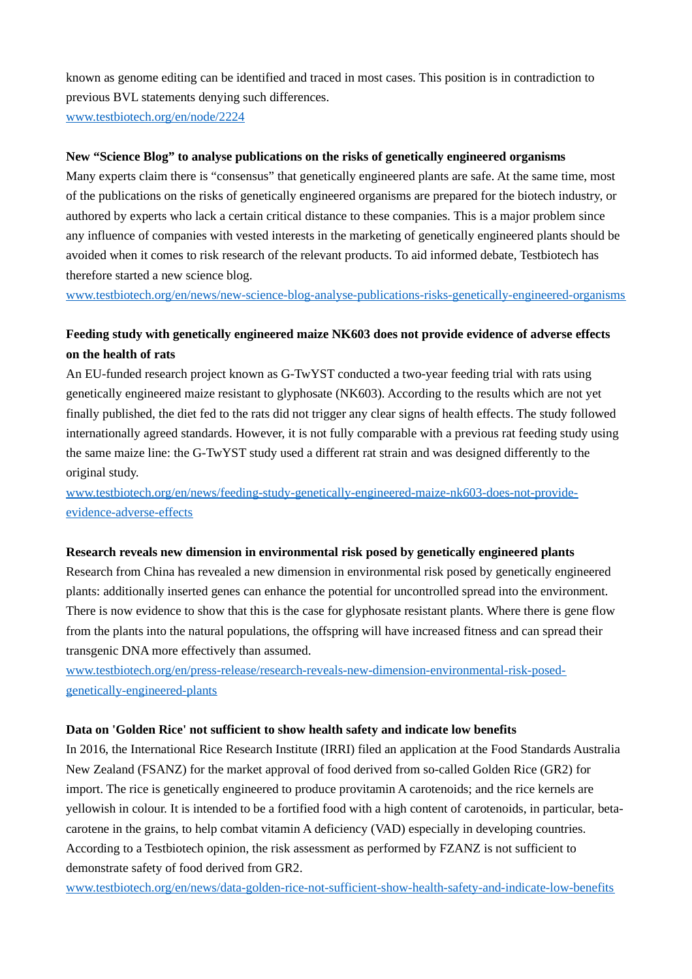known as genome editing can be identified and traced in most cases. This position is in contradiction to previous BVL statements denying such differences.

[www.testbiotech.org/en/node/2224](http://www.testbiotech.org/en/node/2224)

### **New "Science Blog" to analyse publications on the risks of genetically engineered organisms**

Many experts claim there is "consensus" that genetically engineered plants are safe. At the same time, most of the publications on the risks of genetically engineered organisms are prepared for the biotech industry, or authored by experts who lack a certain critical distance to these companies. This is a major problem since any influence of companies with vested interests in the marketing of genetically engineered plants should be avoided when it comes to risk research of the relevant products. To aid informed debate, Testbiotech has therefore started a new science blog.

[www.testbiotech.org/en/news/new-science-blog-analyse-publications-risks-genetically-engineered-organisms](http://www.testbiotech.org/en/news/new-science-blog-analyse-publications-risks-genetically-engineered-organisms)

## **Feeding study with genetically engineered maize NK603 does not provide evidence of adverse effects on the health of rats**

An EU-funded research project known as G-TwYST conducted a two-year feeding trial with rats using genetically engineered maize resistant to glyphosate (NK603). According to the results which are not yet finally published, the diet fed to the rats did not trigger any clear signs of health effects. The study followed internationally agreed standards. However, it is not fully comparable with a previous rat feeding study using the same maize line: the G-TwYST study used a different rat strain and was designed differently to the original study.

[www.testbiotech.org/en/news/feeding-study-genetically-engineered-maize-nk603-does-not-provide](http://www.testbiotech.org/en/news/feeding-study-genetically-engineered-maize-nk603-does-not-provide-evidence-adverse-effects)[evidence-adverse-effects](http://www.testbiotech.org/en/news/feeding-study-genetically-engineered-maize-nk603-does-not-provide-evidence-adverse-effects)

#### **Research reveals new dimension in environmental risk posed by genetically engineered plants**

Research from China has revealed a new dimension in environmental risk posed by genetically engineered plants: additionally inserted genes can enhance the potential for uncontrolled spread into the environment. There is now evidence to show that this is the case for glyphosate resistant plants. Where there is gene flow from the plants into the natural populations, the offspring will have increased fitness and can spread their transgenic DNA more effectively than assumed.

[www.testbiotech.org/en/press-release/research-reveals-new-dimension-environmental-risk-posed](http://www.testbiotech.org/en/press-release/research-reveals-new-dimension-environmental-risk-posed-genetically-engineered-plants)[genetically-engineered-plants](http://www.testbiotech.org/en/press-release/research-reveals-new-dimension-environmental-risk-posed-genetically-engineered-plants)

## **Data on 'Golden Rice' not sufficient to show health safety and indicate low benefits**

In 2016, the International Rice Research Institute (IRRI) filed an application at the Food Standards Australia New Zealand (FSANZ) for the market approval of food derived from so-called Golden Rice (GR2) for import. The rice is genetically engineered to produce provitamin A carotenoids; and the rice kernels are yellowish in colour. It is intended to be a fortified food with a high content of carotenoids, in particular, betacarotene in the grains, to help combat vitamin A deficiency (VAD) especially in developing countries. According to a Testbiotech opinion, the risk assessment as performed by FZANZ is not sufficient to demonstrate safety of food derived from GR2.

[www.testbiotech.org/en/news/data-golden-rice-not-sufficient-show-health-safety-and-indicate-low-benefits](http://www.testbiotech.org/en/news/data-golden-rice-not-sufficient-show-health-safety-and-indicate-low-benefits)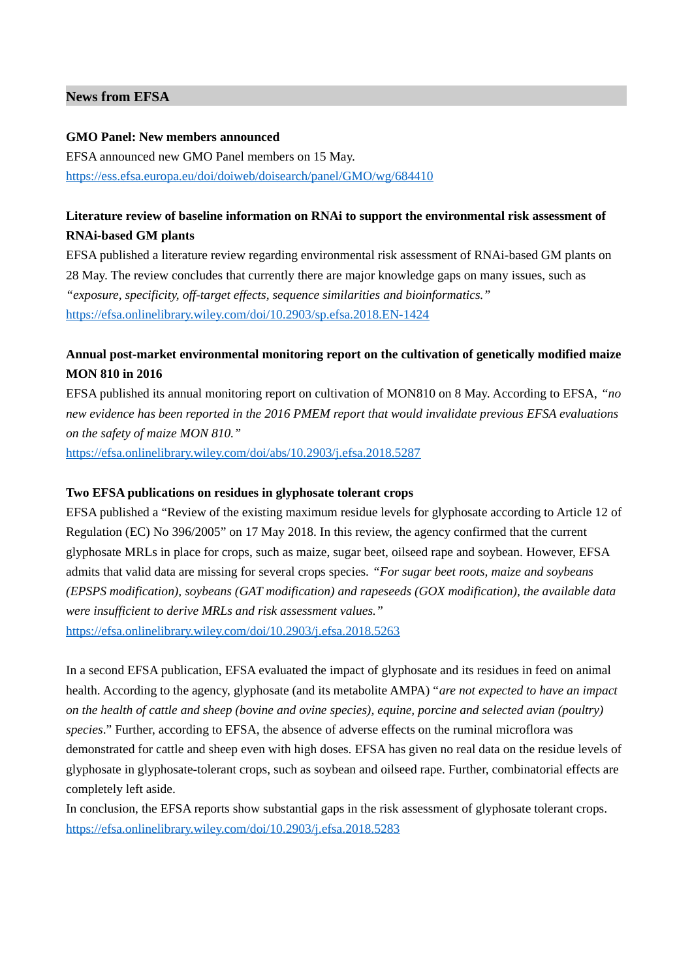#### **News from EFSA**

#### **GMO Panel: New members announced**

EFSA announced new GMO Panel members on 15 May. <https://ess.efsa.europa.eu/doi/doiweb/doisearch/panel/GMO/wg/684410>

## **Literature review of baseline information on RNAi to support the environmental risk assessment of RNAi‐based GM plants**

EFSA published a literature review regarding environmental risk assessment of RNAi‐based GM plants on 28 May. The review concludes that currently there are major knowledge gaps on many issues, such as *"exposure, specificity, off-target effects, sequence similarities and bioinformatics."* <https://efsa.onlinelibrary.wiley.com/doi/10.2903/sp.efsa.2018.EN-1424>

# **Annual post‐market environmental monitoring report on the cultivation of genetically modified maize MON 810 in 2016**

EFSA published its annual monitoring report on cultivation of MON810 on 8 May. According to EFSA, *"no new evidence has been reported in the 2016 PMEM report that would invalidate previous EFSA evaluations on the safety of maize MON 810."*

<https://efsa.onlinelibrary.wiley.com/doi/abs/10.2903/j.efsa.2018.5287>

## **Two EFSA publications on residues in glyphosate tolerant crops**

EFSA published a "Review of the existing maximum residue levels for glyphosate according to Article 12 of Regulation (EC) No 396/2005" on 17 May 2018. In this review, the agency confirmed that the current glyphosate MRLs in place for crops, such as maize, sugar beet, oilseed rape and soybean. However, EFSA admits that valid data are missing for several crops species. *"For sugar beet roots, maize and soybeans (EPSPS modification), soybeans (GAT modification) and rapeseeds (GOX modification), the available data were insufficient to derive MRLs and risk assessment values."* 

<https://efsa.onlinelibrary.wiley.com/doi/10.2903/j.efsa.2018.5263>

In a second EFSA publication, EFSA evaluated the impact of glyphosate and its residues in feed on animal health. According to the agency, glyphosate (and its metabolite AMPA) "*are not expected to have an impact on the health of cattle and sheep (bovine and ovine species), equine, porcine and selected avian (poultry) species*." Further, according to EFSA, the absence of adverse effects on the ruminal microflora was demonstrated for cattle and sheep even with high doses. EFSA has given no real data on the residue levels of glyphosate in glyphosate-tolerant crops, such as soybean and oilseed rape. Further, combinatorial effects are completely left aside.

In conclusion, the EFSA reports show substantial gaps in the risk assessment of glyphosate tolerant crops. <https://efsa.onlinelibrary.wiley.com/doi/10.2903/j.efsa.2018.5283>